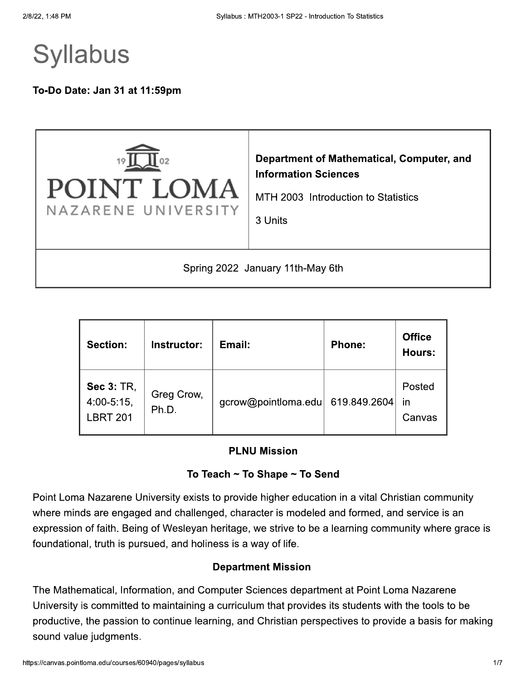# **Syllabus**

To-Do Date: Jan 31 at 11:59pm



| <b>Section:</b><br>Instructor:                        |                     | Email:              | <b>Phone:</b> | <b>Office</b><br>Hours: |
|-------------------------------------------------------|---------------------|---------------------|---------------|-------------------------|
| <b>Sec 3: TR,</b><br>$4.00 - 5.15$<br><b>LBRT 201</b> | Greg Crow,<br>Ph.D. | gcrow@pointloma.edu | 619.849.2604  | Posted<br>in<br>Canvas  |

#### **PLNU Mission**

### To Teach ~ To Shape ~ To Send

Point Loma Nazarene University exists to provide higher education in a vital Christian community where minds are engaged and challenged, character is modeled and formed, and service is an expression of faith. Being of Wesleyan heritage, we strive to be a learning community where grace is foundational, truth is pursued, and holiness is a way of life.

#### **Department Mission**

The Mathematical, Information, and Computer Sciences department at Point Loma Nazarene University is committed to maintaining a curriculum that provides its students with the tools to be productive, the passion to continue learning, and Christian perspectives to provide a basis for making sound value judgments.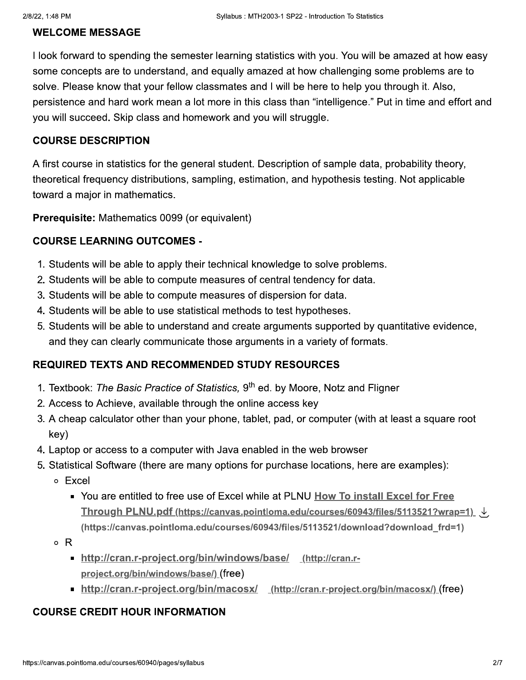### **WELCOME MESSAGE**

I look forward to spending the semester learning statistics with you. You will be amazed at how easy some concepts are to understand, and equally amazed at how challenging some problems are to solve. Please know that your fellow classmates and I will be here to help you through it. Also. persistence and hard work mean a lot more in this class than "intelligence." Put in time and effort and you will succeed. Skip class and homework and you will struggle.

### **COURSE DESCRIPTION**

A first course in statistics for the general student. Description of sample data, probability theory, theoretical frequency distributions, sampling, estimation, and hypothesis testing. Not applicable toward a major in mathematics.

Prerequisite: Mathematics 0099 (or equivalent)

### **COURSE LEARNING OUTCOMES -**

- 1. Students will be able to apply their technical knowledge to solve problems.
- 2. Students will be able to compute measures of central tendency for data.
- 3. Students will be able to compute measures of dispersion for data.
- 4. Students will be able to use statistical methods to test hypotheses.
- 5. Students will be able to understand and create arguments supported by quantitative evidence, and they can clearly communicate those arguments in a variety of formats.

### **REQUIRED TEXTS AND RECOMMENDED STUDY RESOURCES**

- 1. Textbook: The Basic Practice of Statistics, 9<sup>th</sup> ed. by Moore, Notz and Fligner
- 2. Access to Achieve, available through the online access key
- 3. A cheap calculator other than your phone, tablet, pad, or computer (with at least a square root key)
- 4. Laptop or access to a computer with Java enabled in the web browser
- 5. Statistical Software (there are many options for purchase locations, here are examples):
	- o Excel
		- You are entitled to free use of Excel while at PLNU How To install Excel for Free Through PLNU.pdf (https://canvas.pointloma.edu/courses/60943/files/5113521?wrap=1)  $\downarrow$ (https://canvas.pointloma.edu/courses/60943/files/5113521/download?download frd=1)
	- $\circ$  R
		- http://cran.r-project.org/bin/windows/base/ (http://cran.rproject.org/bin/windows/base/) (free)
		- http://cran.r-project.org/bin/macosx/ (http://cran.r-project.org/bin/macosx/)(free)

### **COURSE CREDIT HOUR INFORMATION**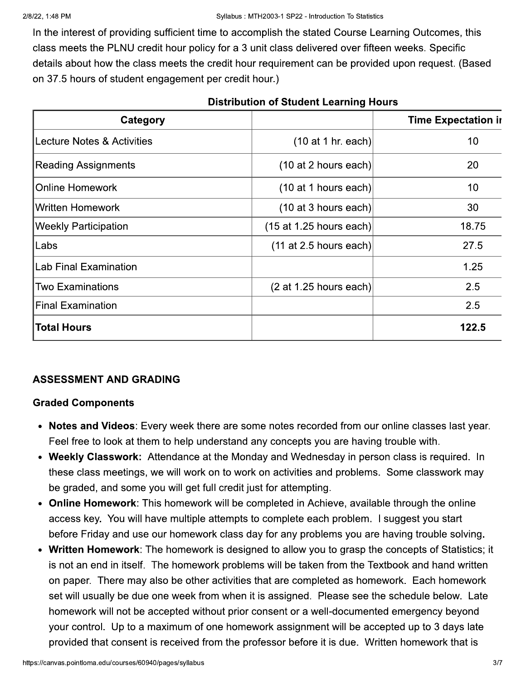In the interest of providing sufficient time to accomplish the stated Course Learning Outcomes, this class meets the PLNU credit hour policy for a 3 unit class delivered over fifteen weeks. Specific details about how the class meets the credit hour requirement can be provided upon request. (Based on 37.5 hours of student engagement per credit hour.)

| Category                    |                           | <b>Time Expectation in</b> |
|-----------------------------|---------------------------|----------------------------|
| Lecture Notes & Activities  | $(10$ at 1 hr. each)      | 10                         |
| Reading Assignments         | (10 at 2 hours each)      | 20                         |
| <b>Online Homework</b>      | (10 at 1 hours each)      | 10                         |
| Written Homework            | (10 at 3 hours each)      | 30                         |
| <b>Weekly Participation</b> | $(15$ at 1.25 hours each) | 18.75                      |
| Labs                        | $(11$ at 2.5 hours each)  | 27.5                       |
| Lab Final Examination       |                           | 1.25                       |
| Two Examinations            | (2 at 1.25 hours each)    | 2.5                        |
| <b>Final Examination</b>    |                           | 2.5                        |
| <b>Total Hours</b>          |                           | 122.5                      |

#### **Distribution of Student Learning Hours**

### **ASSESSMENT AND GRADING**

### **Graded Components**

- Notes and Videos: Every week there are some notes recorded from our online classes last year. Feel free to look at them to help understand any concepts you are having trouble with.
- Weekly Classwork: Attendance at the Monday and Wednesday in person class is required. In these class meetings, we will work on to work on activities and problems. Some classwork may be graded, and some you will get full credit just for attempting.
- Online Homework: This homework will be completed in Achieve, available through the online access key. You will have multiple attempts to complete each problem. I suggest you start before Friday and use our homework class day for any problems you are having trouble solving.
- Written Homework: The homework is designed to allow you to grasp the concepts of Statistics; it is not an end in itself. The homework problems will be taken from the Textbook and hand written on paper. There may also be other activities that are completed as homework. Each homework set will usually be due one week from when it is assigned. Please see the schedule below. Late homework will not be accepted without prior consent or a well-documented emergency beyond your control. Up to a maximum of one homework assignment will be accepted up to 3 days late provided that consent is received from the professor before it is due. Written homework that is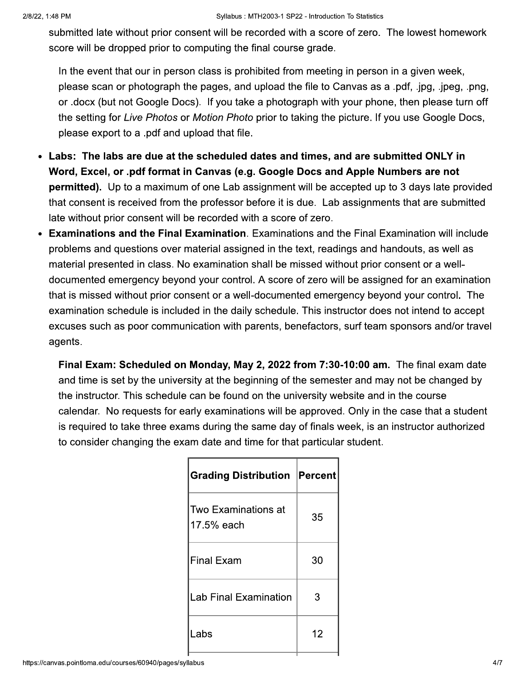submitted late without prior consent will be recorded with a score of zero. The lowest homework score will be dropped prior to computing the final course grade.

In the event that our in person class is prohibited from meeting in person in a given week, please scan or photograph the pages, and upload the file to Canvas as a .pdf, .jpg, .jpeg, .png, or .docx (but not Google Docs). If you take a photograph with your phone, then please turn off the setting for Live Photos or Motion Photo prior to taking the picture. If you use Google Docs, please export to a .pdf and upload that file.

- Labs: The labs are due at the scheduled dates and times, and are submitted ONLY in Word, Excel, or .pdf format in Canvas (e.g. Google Docs and Apple Numbers are not **permitted).** Up to a maximum of one Lab assignment will be accepted up to 3 days late provided that consent is received from the professor before it is due. Lab assignments that are submitted late without prior consent will be recorded with a score of zero.
- **Examinations and the Final Examination.** Examinations and the Final Examination will include problems and questions over material assigned in the text, readings and handouts, as well as material presented in class. No examination shall be missed without prior consent or a welldocumented emergency beyond your control. A score of zero will be assigned for an examination that is missed without prior consent or a well-documented emergency beyond your control. The examination schedule is included in the daily schedule. This instructor does not intend to accept excuses such as poor communication with parents, benefactors, surf team sponsors and/or travel agents.

Final Exam: Scheduled on Monday, May 2, 2022 from 7:30-10:00 am. The final exam date and time is set by the university at the beginning of the semester and may not be changed by the instructor. This schedule can be found on the university website and in the course calendar. No requests for early examinations will be approved. Only in the case that a student is required to take three exams during the same day of finals week, is an instructor authorized to consider changing the exam date and time for that particular student.

| <b>Grading Distribution Percent</b> |    |
|-------------------------------------|----|
| Two Examinations at<br>17.5% each   | 35 |
| <b>Final Exam</b>                   | 30 |
| <b>Lab Final Examination</b>        | 3  |
| Labs                                | 12 |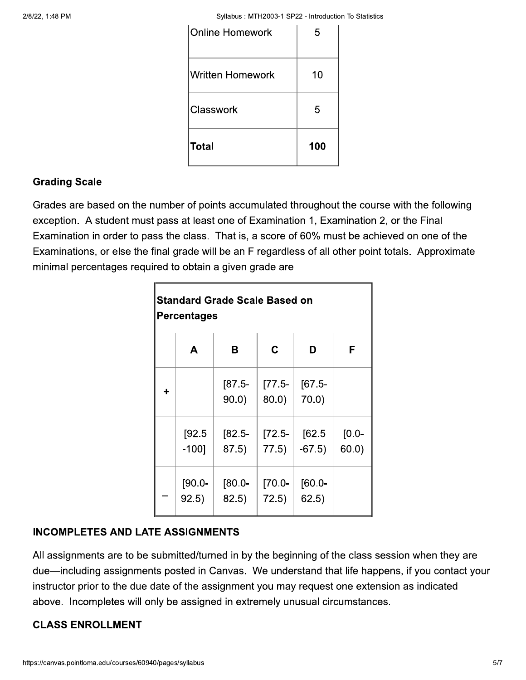Syllabus: MTH2003-1 SP22 - Introduction To Statistics

| Total                   | 100 |
|-------------------------|-----|
| Classwork               | 5   |
| <b>Written Homework</b> | 10  |
| <b>Online Homework</b>  | 5   |

### **Grading Scale**

Grades are based on the number of points accumulated throughout the course with the following exception. A student must pass at least one of Examination 1, Examination 2, or the Final Examination in order to pass the class. That is, a score of 60% must be achieved on one of the Examinations, or else the final grade will be an F regardless of all other point totals. Approximate minimal percentages required to obtain a given grade are

| <b>Standard Grade Scale Based on</b><br><b>Percentages</b> |                    |                   |                      |                      |                   |  |  |
|------------------------------------------------------------|--------------------|-------------------|----------------------|----------------------|-------------------|--|--|
|                                                            | A                  | в                 | C                    | D                    | F                 |  |  |
| ÷                                                          |                    | $[87.5-$<br>90.0) | $[77.5-$<br>$80.0$ ) | $[67.5-$<br>$70.0$ ) |                   |  |  |
|                                                            | [92.5]<br>$-100$ ] | $[82.5-$<br>87.5) | $[72.5-$<br>77.5)    | [62.5]<br>$-67.5)$   | $[0.0 -$<br>60.0) |  |  |
|                                                            | $[90.0 -$<br>92.5) | $-0.08$<br>82.5)  | $[70.0 -$<br>72.5)   | $[60.0 -$<br>62.5)   |                   |  |  |

### **INCOMPLETES AND LATE ASSIGNMENTS**

All assignments are to be submitted/turned in by the beginning of the class session when they are due—including assignments posted in Canvas. We understand that life happens, if you contact your instructor prior to the due date of the assignment you may request one extension as indicated above. Incompletes will only be assigned in extremely unusual circumstances.

### **CLASS ENROLLMENT**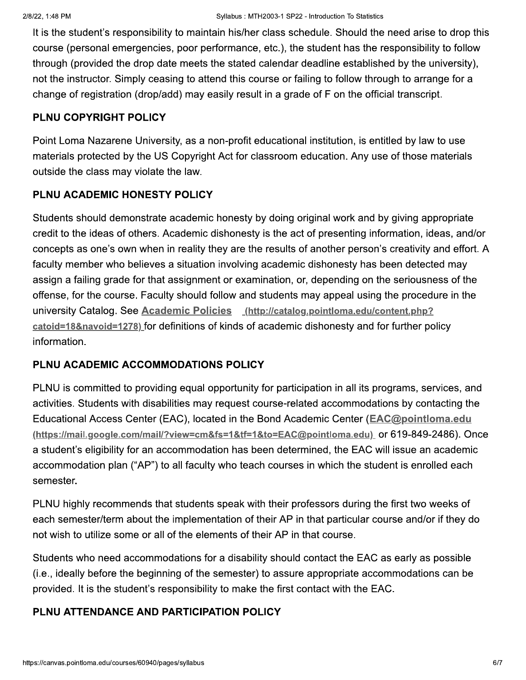It is the student's responsibility to maintain his/her class schedule. Should the need arise to drop this course (personal emergencies, poor performance, etc.), the student has the responsibility to follow through (provided the drop date meets the stated calendar deadline established by the university). not the instructor. Simply ceasing to attend this course or failing to follow through to arrange for a change of registration (drop/add) may easily result in a grade of F on the official transcript.

### PLNU COPYRIGHT POLICY

Point Loma Nazarene University, as a non-profit educational institution, is entitled by law to use materials protected by the US Copyright Act for classroom education. Any use of those materials outside the class may violate the law.

### PLNU ACADEMIC HONESTY POLICY

Students should demonstrate academic honesty by doing original work and by giving appropriate credit to the ideas of others. Academic dishonesty is the act of presenting information, ideas, and/or concepts as one's own when in reality they are the results of another person's creativity and effort. A faculty member who believes a situation involving academic dishonesty has been detected may assign a failing grade for that assignment or examination, or, depending on the seriousness of the offense, for the course. Faculty should follow and students may appeal using the procedure in the university Catalog. See Academic Policies (http://catalog.pointloma.edu/content.php? catoid=18&navoid=1278) for definitions of kinds of academic dishonesty and for further policy information.

### PLNU ACADEMIC ACCOMMODATIONS POLICY

PLNU is committed to providing equal opportunity for participation in all its programs, services, and activities. Students with disabilities may request course-related accommodations by contacting the Educational Access Center (EAC), located in the Bond Academic Center (EAC@pointloma.edu (https://mail.google.com/mail/?view=cm&fs=1&tf=1&to=EAC@pointloma.edu) or 619-849-2486). Once a student's eligibility for an accommodation has been determined, the EAC will issue an academic accommodation plan ("AP") to all faculty who teach courses in which the student is enrolled each semester.

PLNU highly recommends that students speak with their professors during the first two weeks of each semester/term about the implementation of their AP in that particular course and/or if they do not wish to utilize some or all of the elements of their AP in that course.

Students who need accommodations for a disability should contact the EAC as early as possible (i.e., ideally before the beginning of the semester) to assure appropriate accommodations can be provided. It is the student's responsibility to make the first contact with the EAC.

### PLNU ATTENDANCE AND PARTICIPATION POLICY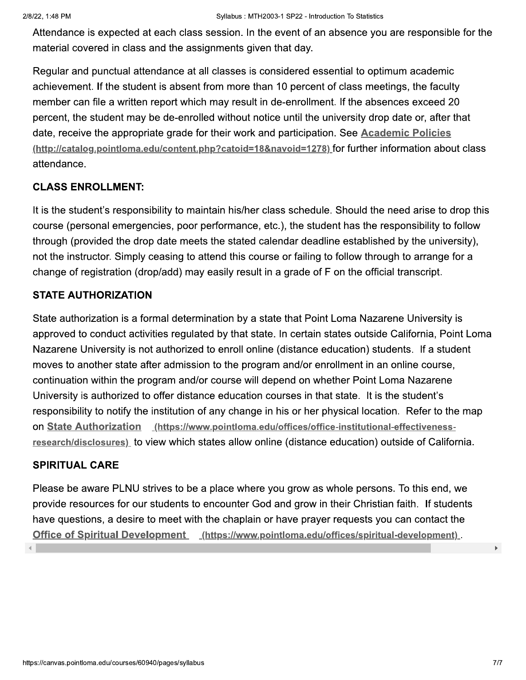Attendance is expected at each class session. In the event of an absence you are responsible for the material covered in class and the assignments given that day.

Regular and punctual attendance at all classes is considered essential to optimum academic achievement. If the student is absent from more than 10 percent of class meetings, the faculty member can file a written report which may result in de-enrollment. If the absences exceed 20 percent, the student may be de-enrolled without notice until the university drop date or, after that date, receive the appropriate grade for their work and participation. See Academic Policies (http://catalog.pointloma.edu/content.php?catoid=18&navoid=1278) for further information about class attendance.

### **CLASS ENROLLMENT:**

It is the student's responsibility to maintain his/her class schedule. Should the need arise to drop this course (personal emergencies, poor performance, etc.), the student has the responsibility to follow through (provided the drop date meets the stated calendar deadline established by the university), not the instructor. Simply ceasing to attend this course or failing to follow through to arrange for a change of registration (drop/add) may easily result in a grade of F on the official transcript.

### **STATE AUTHORIZATION**

State authorization is a formal determination by a state that Point Loma Nazarene University is approved to conduct activities regulated by that state. In certain states outside California, Point Loma Nazarene University is not authorized to enroll online (distance education) students. If a student moves to another state after admission to the program and/or enrollment in an online course. continuation within the program and/or course will depend on whether Point Loma Nazarene University is authorized to offer distance education courses in that state. It is the student's responsibility to notify the institution of any change in his or her physical location. Refer to the map on State Authorization (https://www.pointloma.edu/offices/office-institutional-effectivenessresearch/disclosures) to view which states allow online (distance education) outside of California.

### **SPIRITUAL CARE**

Please be aware PLNU strives to be a place where you grow as whole persons. To this end, we provide resources for our students to encounter God and grow in their Christian faith. If students have questions, a desire to meet with the chaplain or have prayer requests you can contact the Office of Spiritual Development (https://www.pointloma.edu/offices/spiritual-development)

 $\blacktriangleright$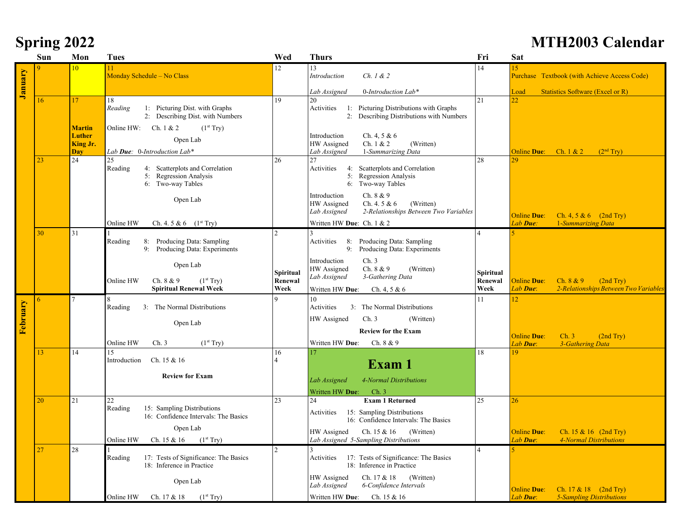|  | <b>Spring 2022</b> |
|--|--------------------|
|  |                    |

## **Spring 2022 MTH2003 Calendar**

|          | Sun | Mon                                        | Tues                                                                                                | Wed                  | <b>Thurs</b>                                                                                                                     | Fri                  | <b>Sat</b>                                                                           |
|----------|-----|--------------------------------------------|-----------------------------------------------------------------------------------------------------|----------------------|----------------------------------------------------------------------------------------------------------------------------------|----------------------|--------------------------------------------------------------------------------------|
| January  | Q.  | 10                                         | 11<br>Monday Schedule - No Class                                                                    | 12                   | 13<br>Introduction<br>Ch. 1 & 2                                                                                                  | 14                   | 15<br>Purchase Textbook (with Achieve Access Code)                                   |
|          |     |                                            |                                                                                                     |                      | 0-Introduction Lab*<br>Lab Assigned                                                                                              |                      | <b>Statistics Software (Excel or R)</b><br>Load                                      |
|          | 16  | 17                                         | 18<br>Reading<br>1: Picturing Dist. with Graphs<br>2: Describing Dist. with Numbers                 | 19                   | 20<br>Activities<br>1: Picturing Distributions with Graphs<br>2: Describing Distributions with Numbers                           | 21                   | $22^{1}$                                                                             |
|          |     | <b>Martin</b><br>Luther<br>King Jr.<br>Dav | Online HW: Ch. $1 & 2$<br>(1 <sup>st</sup> Try)<br>Open Lab<br>Lab <b>Due</b> : 0-Introduction Lab* |                      | Ch. 4, 5 & $6$<br>Introduction<br>Ch. 1 & 2<br>HW Assigned<br>(Written)<br>1-Summarizing Data<br>Lab Assigned                    |                      | (2 <sup>nd</sup> Try)<br><b>Online Due:</b><br>Ch. $1 & 2$                           |
|          | 23  | 24                                         | 25<br>Reading<br>4: Scatterplots and Correlation<br>5: Regression Analysis<br>6: Two-way Tables     | 26                   | 27<br>Activities<br>4: Scatterplots and Correlation<br>5: Regression Analysis<br>6: Two-way Tables                               | 28                   |                                                                                      |
|          |     |                                            | Open Lab                                                                                            |                      | Ch. 8 & 9<br>Introduction<br>Ch. 4. 5 & $6$<br>HW Assigned<br>(Written)<br>2-Relationships Between Two Variables<br>Lab Assigned |                      | <b>Online Due:</b><br>Ch. 4, 5 & 6 $(2nd Try)$                                       |
|          |     |                                            | Ch. 4. 5 & 6 $(1^{st}$ Try)<br>Online HW                                                            |                      | Written HW Due: Ch. 1 & 2                                                                                                        |                      | Lab Due:<br>1-Summarizing Data                                                       |
|          | 30  | 31                                         | Reading<br>8: Producing Data: Sampling<br>9: Producing Data: Experiments                            |                      | 8: Producing Data: Sampling<br>Activities<br>9:<br>Producing Data: Experiments                                                   |                      |                                                                                      |
|          |     |                                            | Open Lab<br>Online HW<br>Ch. 8 & 9<br>(1 <sup>st</sup> Try)                                         | Spiritual<br>Renewal | Ch.3<br>Introduction<br>HW Assigned<br>Ch. 8 & 9<br>(Written)<br>3-Gathering Data<br>Lab Assigned                                | Spiritual<br>Renewal | <b>Online Due:</b><br>Ch. $8 & 9$<br>(2nd Try)                                       |
|          |     |                                            | <b>Spiritual Renewal Week</b><br>Week                                                               |                      | Written HW Due:<br>Ch. 4, 5 & 6                                                                                                  | Week                 | Lab Due:<br>2-Relationships Between Two Variables                                    |
|          | 6   |                                            | Reading<br>3: The Normal Distributions                                                              | $\mathbf Q$          | 10<br>Activities<br>3: The Normal Distributions                                                                                  | 11                   | 12                                                                                   |
| February |     |                                            | Open Lab                                                                                            |                      | Ch.3<br>HW Assigned<br>(Written)<br><b>Review for the Exam</b>                                                                   |                      | <b>Online Due:</b><br>Ch.3<br>(2nd Try)                                              |
|          |     |                                            | Online HW<br>Ch.3<br>(1 <sup>st</sup> Try)                                                          |                      | Written HW Due:<br>Ch. $8 & 9$                                                                                                   |                      | Lab Due:<br>3-Gathering Data                                                         |
|          | 13  | 14                                         | 15<br>Ch. 15 & 16<br>Introduction                                                                   | 16                   | 17<br>Exam 1                                                                                                                     | 18                   | 19                                                                                   |
|          |     |                                            | <b>Review for Exam</b>                                                                              |                      | 4-Normal Distributions<br>Lab Assigned<br>Written HW Due:<br>Ch.3                                                                |                      |                                                                                      |
|          | 20  | 21                                         | 22<br>Reading<br>15: Sampling Distributions<br>16: Confidence Intervals: The Basics                 | 23                   | <b>Exam 1 Returned</b><br>24<br>15: Sampling Distributions<br>Activities<br>16: Confidence Intervals: The Basics                 | 25                   | 26                                                                                   |
|          |     |                                            | Open Lab<br>(1 <sup>st</sup> Try)<br>Online HW<br>Ch. 15 & 16                                       |                      | HW Assigned<br>Ch. 15 & 16<br>(Written)<br>Lab Assigned 5-Sampling Distributions                                                 |                      | Ch. $15 \& 16$ (2nd Try)<br><b>Online Due:</b><br>4-Normal Distributions<br>Lab Due: |
|          | 27  | 28                                         | 17: Tests of Significance: The Basics<br>Reading<br>18: Inference in Practice                       | $\mathcal{D}$        | 17: Tests of Significance: The Basics<br>Activities<br>18: Inference in Practice                                                 |                      |                                                                                      |
|          |     |                                            | Open Lab                                                                                            |                      | HW Assigned<br>Ch. 17 & 18<br>(Written)<br>Lab Assigned<br>6-Confidence Intervals                                                |                      | <b>Online Due:</b><br>Ch. $17 \& 18$ (2nd Try)                                       |
|          |     |                                            | (1 <sup>st</sup> Try)<br>Online HW<br>Ch. 17 & 18                                                   |                      | Written HW Due: Ch. 15 & 16                                                                                                      |                      | Lab Due:<br><b>5-Sampling Distributions</b>                                          |